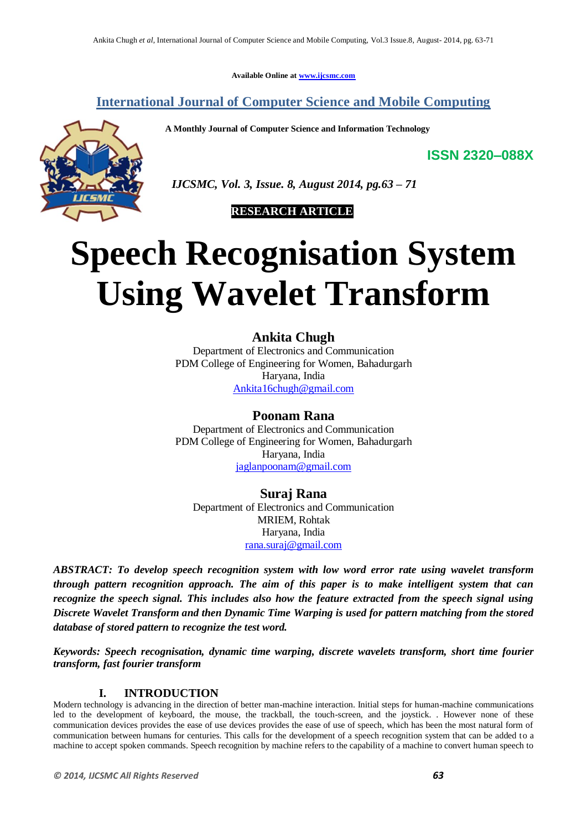**Available Online at [www.ijcsmc.com](http://www.ijcsmc.com/)**

# **International Journal of Computer Science and Mobile Computing**

 **A Monthly Journal of Computer Science and Information Technology**

**ISSN 2320–088X**



 *IJCSMC, Vol. 3, Issue. 8, August 2014, pg.63 – 71*

 **RESEARCH ARTICLE**

# **Speech Recognisation System Using Wavelet Transform**

## **Ankita Chugh**

Department of Electronics and Communication PDM College of Engineering for Women, Bahadurgarh Haryana, India [Ankita16chugh@gmail.com](mailto:Ankita16chugh@gmail.com)

## **Poonam Rana**

Department of Electronics and Communication PDM College of Engineering for Women, Bahadurgarh Haryana, India [jaglanpoonam@gmail.com](mailto:jaglanpoonam@gmail.com)

## **Suraj Rana**

Department of Electronics and Communication MRIEM, Rohtak Haryana, India [rana.suraj@gmail.com](mailto:rana.suraj@gmail.com)

*ABSTRACT: To develop speech recognition system with low word error rate using wavelet transform through pattern recognition approach. The aim of this paper is to make intelligent system that can recognize the speech signal. This includes also how the feature extracted from the speech signal using Discrete Wavelet Transform and then Dynamic Time Warping is used for pattern matching from the stored database of stored pattern to recognize the test word.*

*Keywords: Speech recognisation, dynamic time warping, discrete wavelets transform, short time fourier transform, fast fourier transform*

## **I. INTRODUCTION**

Modern technology is advancing in the direction of better man-machine interaction. Initial steps for human-machine communications led to the development of keyboard, the mouse, the trackball, the touch-screen, and the joystick. . However none of these communication devices provides the ease of use devices provides the ease of use of speech, which has been the most natural form of communication between humans for centuries. This calls for the development of a speech recognition system that can be added to a machine to accept spoken commands. Speech recognition by machine refers to the capability of a machine to convert human speech to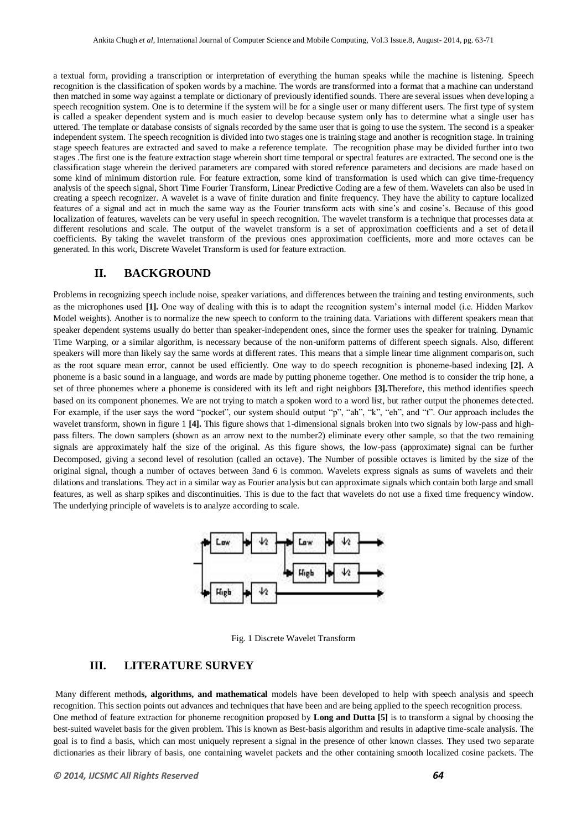a textual form, providing a transcription or interpretation of everything the human speaks while the machine is listening. Speech recognition is the classification of spoken words by a machine. The words are transformed into a format that a machine can understand then matched in some way against a template or dictionary of previously identified sounds. There are several issues when developing a speech recognition system. One is to determine if the system will be for a single user or many different users. The first type of system is called a speaker dependent system and is much easier to develop because system only has to determine what a single user has uttered. The template or database consists of signals recorded by the same user that is going to use the system. The second is a speaker independent system. The speech recognition is divided into two stages one is training stage and another is recognition stage. In training stage speech features are extracted and saved to make a reference template. The recognition phase may be divided further into two stages .The first one is the feature extraction stage wherein short time temporal or spectral features are extracted. The second one is the classification stage wherein the derived parameters are compared with stored reference parameters and decisions are made based on some kind of minimum distortion rule. For feature extraction, some kind of transformation is used which can give time-frequency analysis of the speech signal, Short Time Fourier Transform, Linear Predictive Coding are a few of them. Wavelets can also be used in creating a speech recognizer. A wavelet is a wave of finite duration and finite frequency. They have the ability to capture localized features of a signal and act in much the same way as the Fourier transform acts with sine's and cosine's. Because of this good localization of features, wavelets can be very useful in speech recognition. The wavelet transform is a technique that processes data at different resolutions and scale. The output of the wavelet transform is a set of approximation coefficients and a set of detail coefficients. By taking the wavelet transform of the previous ones approximation coefficients, more and more octaves can be generated. In this work, Discrete Wavelet Transform is used for feature extraction.

## **II. BACKGROUND**

Problems in recognizing speech include noise, speaker variations, and differences between the training and testing environments, such as the microphones used **[1].** One way of dealing with this is to adapt the recognition system's internal model (i.e. Hidden Markov Model weights). Another is to normalize the new speech to conform to the training data. Variations with different speakers mean that speaker dependent systems usually do better than speaker-independent ones, since the former uses the speaker for training. Dynamic Time Warping, or a similar algorithm, is necessary because of the non-uniform patterns of different speech signals. Also, different speakers will more than likely say the same words at different rates. This means that a simple linear time alignment comparison, such as the root square mean error, cannot be used efficiently. One way to do speech recognition is phoneme-based indexing **[2].** A phoneme is a basic sound in a language, and words are made by putting phoneme together. One method is to consider the trip hone, a set of three phonemes where a phoneme is considered with its left and right neighbors **[3].**Therefore, this method identifies speech based on its component phonemes. We are not trying to match a spoken word to a word list, but rather output the phonemes detected. For example, if the user says the word "pocket", our system should output "p", "ah", "k", "eh", and "t". Our approach includes the wavelet transform, shown in figure 1 **[4].** This figure shows that 1-dimensional signals broken into two signals by low-pass and highpass filters. The down samplers (shown as an arrow next to the number2) eliminate every other sample, so that the two remaining signals are approximately half the size of the original. As this figure shows, the low-pass (approximate) signal can be further Decomposed, giving a second level of resolution (called an octave). The Number of possible octaves is limited by the size of the original signal, though a number of octaves between 3and 6 is common. Wavelets express signals as sums of wavelets and their dilations and translations. They act in a similar way as Fourier analysis but can approximate signals which contain both large and small features, as well as sharp spikes and discontinuities. This is due to the fact that wavelets do not use a fixed time frequency window. The underlying principle of wavelets is to analyze according to scale.



Fig. 1 Discrete Wavelet Transform

## **III. LITERATURE SURVEY**

Many different method**s, algorithms, and mathematical** models have been developed to help with speech analysis and speech recognition. This section points out advances and techniques that have been and are being applied to the speech recognition process. One method of feature extraction for phoneme recognition proposed by **Long and Dutta [5]** is to transform a signal by choosing the best-suited wavelet basis for the given problem. This is known as Best-basis algorithm and results in adaptive time-scale analysis. The goal is to find a basis, which can most uniquely represent a signal in the presence of other known classes. They used two separate dictionaries as their library of basis, one containing wavelet packets and the other containing smooth localized cosine packets. The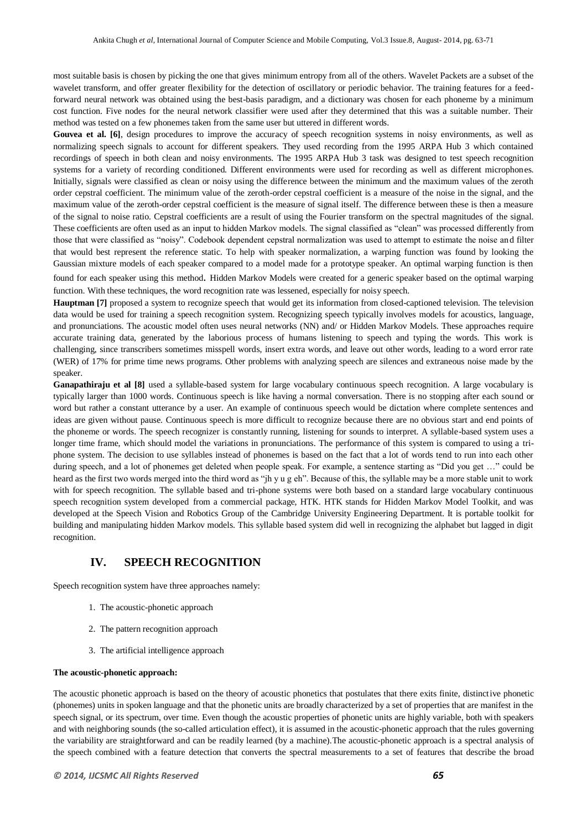most suitable basis is chosen by picking the one that gives minimum entropy from all of the others. Wavelet Packets are a subset of the wavelet transform, and offer greater flexibility for the detection of oscillatory or periodic behavior. The training features for a feedforward neural network was obtained using the best-basis paradigm, and a dictionary was chosen for each phoneme by a minimum cost function. Five nodes for the neural network classifier were used after they determined that this was a suitable number. Their method was tested on a few phonemes taken from the same user but uttered in different words.

Gouvea et al. [6], design procedures to improve the accuracy of speech recognition systems in noisy environments, as well as normalizing speech signals to account for different speakers. They used recording from the 1995 ARPA Hub 3 which contained recordings of speech in both clean and noisy environments. The 1995 ARPA Hub 3 task was designed to test speech recognition systems for a variety of recording conditioned. Different environments were used for recording as well as different microphones. Initially, signals were classified as clean or noisy using the difference between the minimum and the maximum values of the zeroth order cepstral coefficient. The minimum value of the zeroth-order cepstral coefficient is a measure of the noise in the signal, and the maximum value of the zeroth-order cepstral coefficient is the measure of signal itself. The difference between these is then a measure of the signal to noise ratio. Cepstral coefficients are a result of using the Fourier transform on the spectral magnitudes of the signal. These coefficients are often used as an input to hidden Markov models. The signal classified as "clean" was processed differently from those that were classified as "noisy". Codebook dependent cepstral normalization was used to attempt to estimate the noise and filter that would best represent the reference static. To help with speaker normalization, a warping function was found by looking the Gaussian mixture models of each speaker compared to a model made for a prototype speaker. An optimal warping function is then found for each speaker using this method. Hidden Markov Models were created for a generic speaker based on the optimal warping function. With these techniques, the word recognition rate was lessened, especially for noisy speech.

**Hauptman** [7] proposed a system to recognize speech that would get its information from closed-captioned television. The television data would be used for training a speech recognition system. Recognizing speech typically involves models for acoustics, language, and pronunciations. The acoustic model often uses neural networks (NN) and/ or Hidden Markov Models. These approaches require accurate training data, generated by the laborious process of humans listening to speech and typing the words. This work is challenging, since transcribers sometimes misspell words, insert extra words, and leave out other words, leading to a word error rate (WER) of 17% for prime time news programs. Other problems with analyzing speech are silences and extraneous noise made by the speaker.

**Ganapathiraju et al [8]** used a syllable-based system for large vocabulary continuous speech recognition. A large vocabulary is typically larger than 1000 words. Continuous speech is like having a normal conversation. There is no stopping after each sound or word but rather a constant utterance by a user. An example of continuous speech would be dictation where complete sentences and ideas are given without pause. Continuous speech is more difficult to recognize because there are no obvious start and end points of the phoneme or words. The speech recognizer is constantly running, listening for sounds to interpret. A syllable-based system uses a longer time frame, which should model the variations in pronunciations. The performance of this system is compared to using a triphone system. The decision to use syllables instead of phonemes is based on the fact that a lot of words tend to run into each other during speech, and a lot of phonemes get deleted when people speak. For example, a sentence starting as "Did you get ..." could be heard as the first two words merged into the third word as "jh y u g eh". Because of this, the syllable may be a more stable unit to work with for speech recognition. The syllable based and tri-phone systems were both based on a standard large vocabulary continuous speech recognition system developed from a commercial package, HTK. HTK stands for Hidden Markov Model Toolkit, and was developed at the Speech Vision and Robotics Group of the Cambridge University Engineering Department. It is portable toolkit for building and manipulating hidden Markov models. This syllable based system did well in recognizing the alphabet but lagged in digit recognition.

## **IV. SPEECH RECOGNITION**

Speech recognition system have three approaches namely:

- 1. The acoustic-phonetic approach
- 2. The pattern recognition approach
- 3. The artificial intelligence approach

#### **The acoustic-phonetic approach:**

The acoustic phonetic approach is based on the theory of acoustic phonetics that postulates that there exits finite, distinctive phonetic (phonemes) units in spoken language and that the phonetic units are broadly characterized by a set of properties that are manifest in the speech signal, or its spectrum, over time. Even though the acoustic properties of phonetic units are highly variable, both with speakers and with neighboring sounds (the so-called articulation effect), it is assumed in the acoustic-phonetic approach that the rules governing the variability are straightforward and can be readily learned (by a machine).The acoustic-phonetic approach is a spectral analysis of the speech combined with a feature detection that converts the spectral measurements to a set of features that describe the broad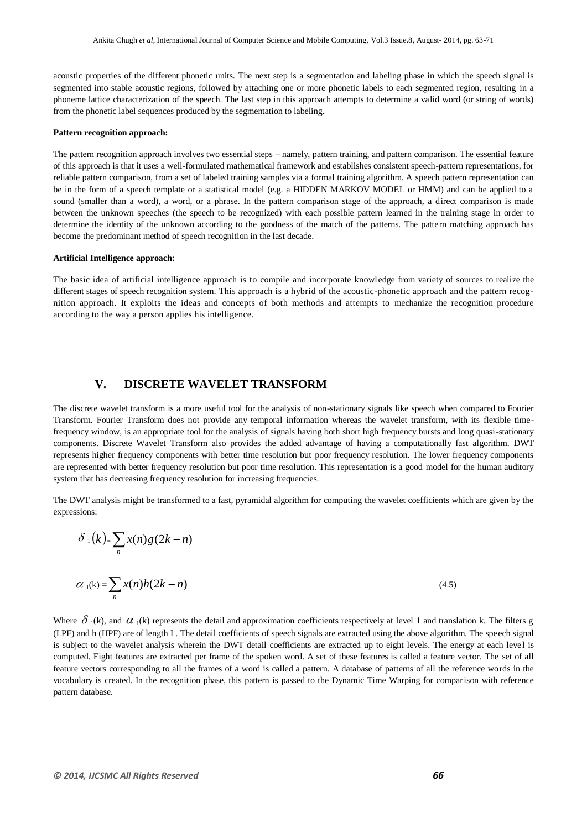acoustic properties of the different phonetic units. The next step is a segmentation and labeling phase in which the speech signal is segmented into stable acoustic regions, followed by attaching one or more phonetic labels to each segmented region, resulting in a phoneme lattice characterization of the speech. The last step in this approach attempts to determine a valid word (or string of words) from the phonetic label sequences produced by the segmentation to labeling.

#### **Pattern recognition approach:**

The pattern recognition approach involves two essential steps – namely, pattern training, and pattern comparison. The essential feature of this approach is that it uses a well-formulated mathematical framework and establishes consistent speech-pattern representations, for reliable pattern comparison, from a set of labeled training samples via a formal training algorithm. A speech pattern representation can be in the form of a speech template or a statistical model (e.g. a HIDDEN MARKOV MODEL or HMM) and can be applied to a sound (smaller than a word), a word, or a phrase. In the pattern comparison stage of the approach, a direct comparison is made between the unknown speeches (the speech to be recognized) with each possible pattern learned in the training stage in order to determine the identity of the unknown according to the goodness of the match of the patterns. The pattern matching approach has become the predominant method of speech recognition in the last decade.

#### **Artificial Intelligence approach:**

The basic idea of artificial intelligence approach is to compile and incorporate knowledge from variety of sources to realize the different stages of speech recognition system. This approach is a hybrid of the acoustic-phonetic approach and the pattern recognition approach. It exploits the ideas and concepts of both methods and attempts to mechanize the recognition procedure according to the way a person applies his intelligence.

### **V. DISCRETE WAVELET TRANSFORM**

The discrete wavelet transform is a more useful tool for the analysis of non-stationary signals like speech when compared to Fourier Transform. Fourier Transform does not provide any temporal information whereas the wavelet transform, with its flexible timefrequency window, is an appropriate tool for the analysis of signals having both short high frequency bursts and long quasi-stationary components. Discrete Wavelet Transform also provides the added advantage of having a computationally fast algorithm. DWT represents higher frequency components with better time resolution but poor frequency resolution. The lower frequency components are represented with better frequency resolution but poor time resolution. This representation is a good model for the human auditory system that has decreasing frequency resolution for increasing frequencies.

The DWT analysis might be transformed to a fast, pyramidal algorithm for computing the wavelet coefficients which are given by the expressions:

$$
\delta_1(k) = \sum_n x(n)g(2k - n)
$$
  

$$
\alpha_1(k) = \sum_n x(n)h(2k - n)
$$
 (4.5)

Where  $\delta_1(k)$ , and  $\alpha_1(k)$  represents the detail and approximation coefficients respectively at level 1 and translation k. The filters g (LPF) and h (HPF) are of length L. The detail coefficients of speech signals are extracted using the above algorithm. The speech signal is subject to the wavelet analysis wherein the DWT detail coefficients are extracted up to eight levels. The energy at each level is computed. Eight features are extracted per frame of the spoken word. A set of these features is called a feature vector. The set of all feature vectors corresponding to all the frames of a word is called a pattern. A database of patterns of all the reference words in the vocabulary is created. In the recognition phase, this pattern is passed to the Dynamic Time Warping for comparison with reference pattern database.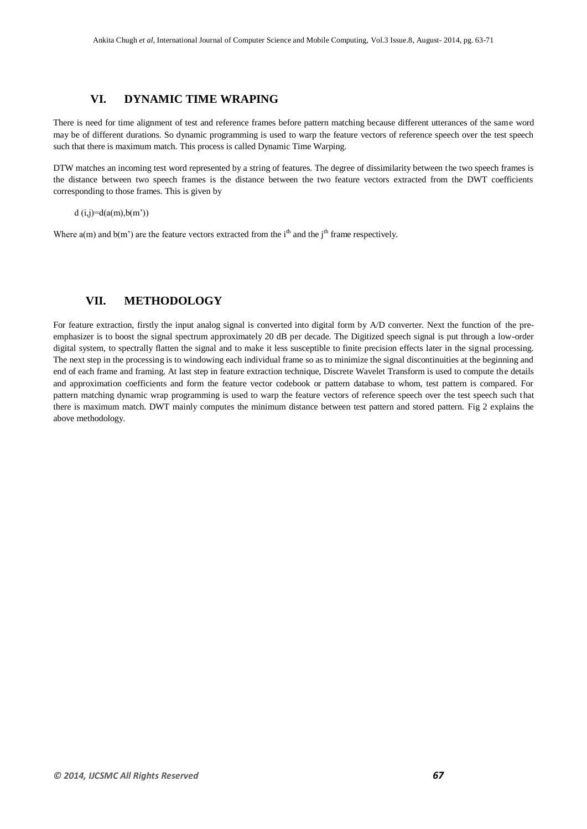## **VI. DYNAMIC TIME WRAPING**

There is need for time alignment of test and reference frames before pattern matching because different utterances of the same word may be of different durations. So dynamic programming is used to warp the feature vectors of reference speech over the test speech such that there is maximum match. This process is called Dynamic Time Warping.

DTW matches an incoming test word represented by a string of features. The degree of dissimilarity between the two speech frames is the distance between two speech frames is the distance between the two feature vectors extracted from the DWT coefficients corresponding to those frames. This is given by

#### d  $(i,j)=d(a(m),b(m'))$

Where  $a(m)$  and  $b(m')$  are the feature vectors extracted from the i<sup>th</sup> and the j<sup>th</sup> frame respectively.

## **VII. METHODOLOGY**

For feature extraction, firstly the input analog signal is converted into digital form by A/D converter. Next the function of the preemphasizer is to boost the signal spectrum approximately 20 dB per decade. The Digitized speech signal is put through a low-order digital system, to spectrally flatten the signal and to make it less susceptible to finite precision effects later in the signal processing. The next step in the processing is to windowing each individual frame so as to minimize the signal discontinuities at the beginning and end of each frame and framing. At last step in feature extraction technique, Discrete Wavelet Transform is used to compute the details and approximation coefficients and form the feature vector codebook or pattern database to whom, test pattern is compared. For pattern matching dynamic wrap programming is used to warp the feature vectors of reference speech over the test speech such that there is maximum match. DWT mainly computes the minimum distance between test pattern and stored pattern. Fig 2 explains the above methodology.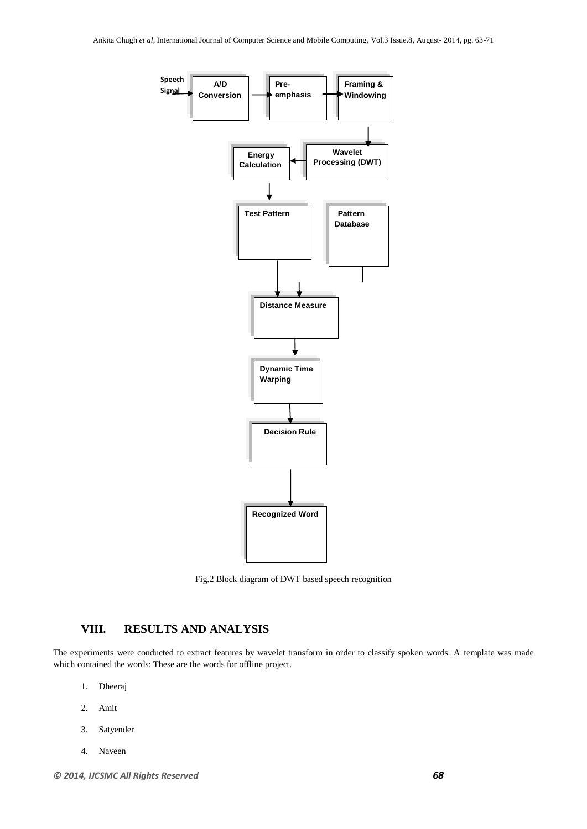

Fig.2 Block diagram of DWT based speech recognition

## **VIII. RESULTS AND ANALYSIS**

The experiments were conducted to extract features by wavelet transform in order to classify spoken words. A template was made which contained the words: These are the words for offline project.

- 1. Dheeraj
- 2. Amit
- 3. Satyender
- 4. Naveen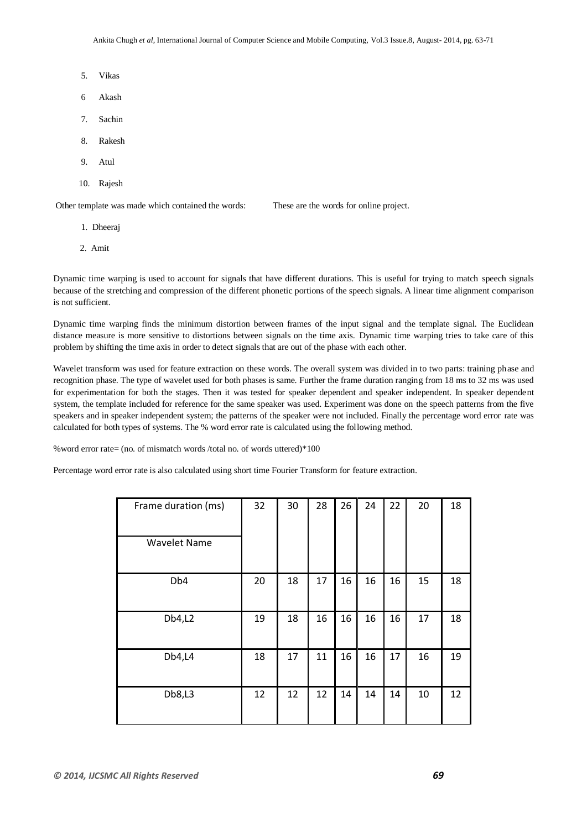- 5. Vikas
- 6 Akash
- 7. Sachin
- 8. Rakesh
- 9. Atul
- 10. Rajesh

Other template was made which contained the words: These are the words for online project.

- 1. Dheeraj
- 2. Amit

Dynamic time warping is used to account for signals that have different durations. This is useful for trying to match speech signals because of the stretching and compression of the different phonetic portions of the speech signals. A linear time alignment comparison is not sufficient.

Dynamic time warping finds the minimum distortion between frames of the input signal and the template signal. The Euclidean distance measure is more sensitive to distortions between signals on the time axis. Dynamic time warping tries to take care of this problem by shifting the time axis in order to detect signals that are out of the phase with each other.

Wavelet transform was used for feature extraction on these words. The overall system was divided in to two parts: training phase and recognition phase. The type of wavelet used for both phases is same. Further the frame duration ranging from 18 ms to 32 ms was used for experimentation for both the stages. Then it was tested for speaker dependent and speaker independent. In speaker dependent system, the template included for reference for the same speaker was used. Experiment was done on the speech patterns from the five speakers and in speaker independent system; the patterns of the speaker were not included. Finally the percentage word error rate was calculated for both types of systems. The % word error rate is calculated using the following method.

% word error rate= (no. of mismatch words /total no. of words uttered) $*100$ 

Percentage word error rate is also calculated using short time Fourier Transform for feature extraction.

| Frame duration (ms)<br><b>Wavelet Name</b> | 32 | 30 | 28 | 26 | 24 | 22 | 20 | 18 |
|--------------------------------------------|----|----|----|----|----|----|----|----|
| Db <sub>4</sub>                            | 20 | 18 | 17 | 16 | 16 | 16 | 15 | 18 |
| Db4,L2                                     | 19 | 18 | 16 | 16 | 16 | 16 | 17 | 18 |
| Db4,L4                                     | 18 | 17 | 11 | 16 | 16 | 17 | 16 | 19 |
| Db8,L3                                     | 12 | 12 | 12 | 14 | 14 | 14 | 10 | 12 |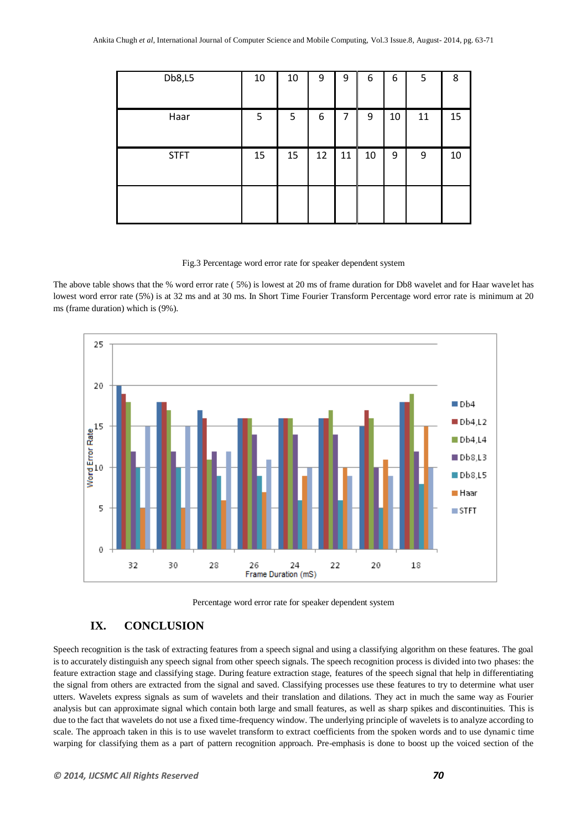| Db8,L5      | 10 | 10 | 9  | 9              | 6  | 6  | 5  | 8  |
|-------------|----|----|----|----------------|----|----|----|----|
| Haar        | 5  | 5  | 6  | $\overline{7}$ | 9  | 10 | 11 | 15 |
| <b>STFT</b> | 15 | 15 | 12 | 11             | 10 | 9  | 9  | 10 |
|             |    |    |    |                |    |    |    |    |

#### Fig.3 Percentage word error rate for speaker dependent system

The above table shows that the % word error rate ( 5%) is lowest at 20 ms of frame duration for Db8 wavelet and for Haar wavelet has lowest word error rate (5%) is at 32 ms and at 30 ms. In Short Time Fourier Transform Percentage word error rate is minimum at 20 ms (frame duration) which is (9%).





## **IX. CONCLUSION**

Speech recognition is the task of extracting features from a speech signal and using a classifying algorithm on these features. The goal is to accurately distinguish any speech signal from other speech signals. The speech recognition process is divided into two phases: the feature extraction stage and classifying stage. During feature extraction stage, features of the speech signal that help in differentiating the signal from others are extracted from the signal and saved. Classifying processes use these features to try to determine what user utters. Wavelets express signals as sum of wavelets and their translation and dilations. They act in much the same way as Fourier analysis but can approximate signal which contain both large and small features, as well as sharp spikes and discontinuities. This is due to the fact that wavelets do not use a fixed time-frequency window. The underlying principle of wavelets is to analyze according to scale. The approach taken in this is to use wavelet transform to extract coefficients from the spoken words and to use dynamic time warping for classifying them as a part of pattern recognition approach. Pre-emphasis is done to boost up the voiced section of the